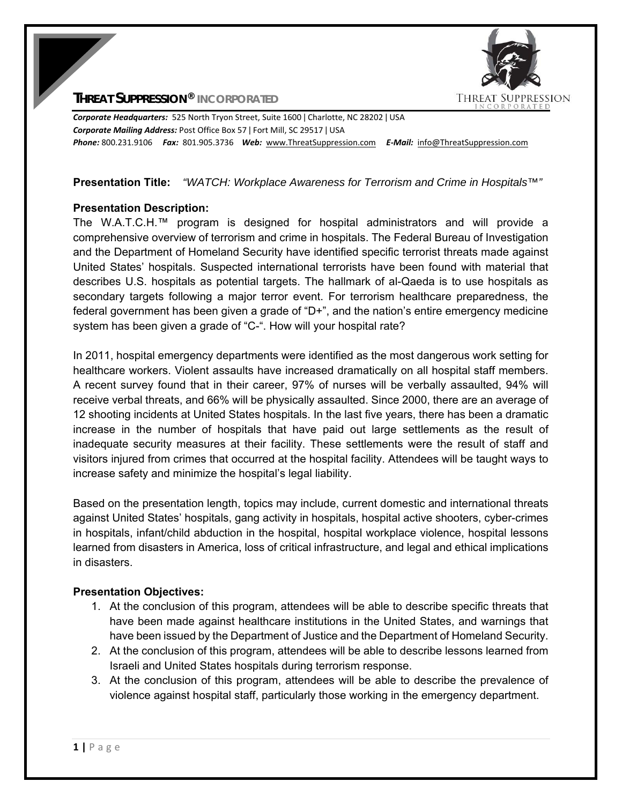**THREAT SUPPRESSION** 

**THREAT SUPPRESSION® INCORPORATED**

*Corporate Headquarters:* 525 North Tryon Street, Suite 1600 ǀ Charlotte, NC 28202 ǀ USA *Corporate Mailing Address:* Post Office Box 57 ǀ Fort Mill, SC 29517 ǀ USA *Phone:* 800.231.9106  *Fax:* 801.905.3736 *Web:* www.ThreatSuppression.com *E‐Mail:*  info@ThreatSuppression.com

### **Presentation Title:** *"WATCH: Workplace Awareness for Terrorism and Crime in Hospitals™"*

### **Presentation Description:**

The W.A.T.C.H.™ program is designed for hospital administrators and will provide a comprehensive overview of terrorism and crime in hospitals. The Federal Bureau of Investigation and the Department of Homeland Security have identified specific terrorist threats made against United States' hospitals. Suspected international terrorists have been found with material that describes U.S. hospitals as potential targets. The hallmark of al-Qaeda is to use hospitals as secondary targets following a major terror event. For terrorism healthcare preparedness, the federal government has been given a grade of "D+", and the nation's entire emergency medicine system has been given a grade of "C-". How will your hospital rate?

In 2011, hospital emergency departments were identified as the most dangerous work setting for healthcare workers. Violent assaults have increased dramatically on all hospital staff members. A recent survey found that in their career, 97% of nurses will be verbally assaulted, 94% will receive verbal threats, and 66% will be physically assaulted. Since 2000, there are an average of 12 shooting incidents at United States hospitals. In the last five years, there has been a dramatic increase in the number of hospitals that have paid out large settlements as the result of inadequate security measures at their facility. These settlements were the result of staff and visitors injured from crimes that occurred at the hospital facility. Attendees will be taught ways to increase safety and minimize the hospital's legal liability.

Based on the presentation length, topics may include, current domestic and international threats against United States' hospitals, gang activity in hospitals, hospital active shooters, cyber-crimes in hospitals, infant/child abduction in the hospital, hospital workplace violence, hospital lessons learned from disasters in America, loss of critical infrastructure, and legal and ethical implications in disasters.

#### **Presentation Objectives:**

- 1. At the conclusion of this program, attendees will be able to describe specific threats that have been made against healthcare institutions in the United States, and warnings that have been issued by the Department of Justice and the Department of Homeland Security.
- 2. At the conclusion of this program, attendees will be able to describe lessons learned from Israeli and United States hospitals during terrorism response.
- 3. At the conclusion of this program, attendees will be able to describe the prevalence of violence against hospital staff, particularly those working in the emergency department.